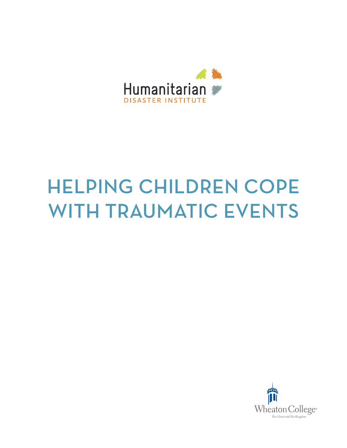

# HELPING CHILDREN COPE WITH TRAUMATIC EVENTS

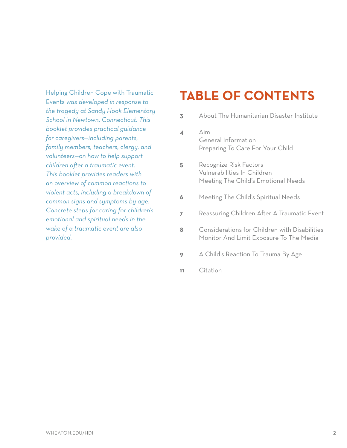Helping Children Cope with Traumatic Events *was developed in response to the tragedy at Sandy Hook Elementary School in Newtown, Connecticut. This booklet provides practical guidance for caregivers—including parents, family members, teachers, clergy, and volunteers—on how to help support children after a traumatic event. This booklet provides readers with an overview of common reactions to violent acts, including a breakdown of common signs and symptoms by age. Concrete steps for caring for children's emotional and spiritual needs in the wake of a traumatic event are also provided.* 

# **TABLE OF CONTENTS**

- **3** About The Humanitarian Disaster Institute
- **4** Aim General Information Preparing To Care For Your Child
- **5** Recognize Risk Factors Vulnerabilities In Children Meeting The Child's Emotional Needs
- **6** Meeting The Child's Spiritual Needs
- **7** Reassuring Children After A Traumatic Event
- **8** Considerations for Children with Disabilities Monitor And Limit Exposure To The Media
- **9** A Child's Reaction To Trauma By Age
- **11** Citation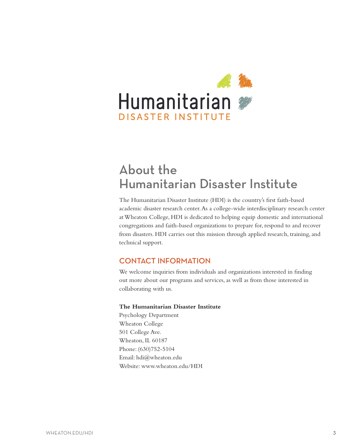

# About the Humanitarian Disaster Institute

The Humanitarian Disaster Institute (HDI) is the country's first faith-based academic disaster research center. As a college-wide interdisciplinary research center at Wheaton College, HDI is dedicated to helping equip domestic and international congregations and faith-based organizations to prepare for, respond to and recover from disasters. HDI carries out this mission through applied research, training, and technical support.

#### CONTACT INFORMATION

We welcome inquiries from individuals and organizations interested in finding out more about our programs and services, as well as from those interested in collaborating with us.

#### **The Humanitarian Disaster Institute**

Psychology Department Wheaton College 501 College Ave. Wheaton, IL 60187 Phone: (630)752-5104 Email: hdi@wheaton.edu Website: www.wheaton.edu/HDI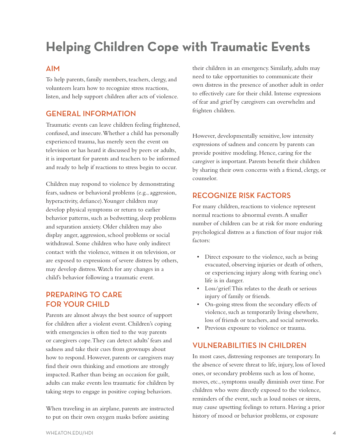# **Helping Children Cope with Traumatic Events**

#### AIM

To help parents, family members, teachers, clergy, and volunteers learn how to recognize stress reactions, listen, and help support children after acts of violence.

#### GENERAL INFORMATION

Traumatic events can leave children feeling frightened, confused, and insecure. Whether a child has personally experienced trauma, has merely seen the event on television or has heard it discussed by peers or adults, it is important for parents and teachers to be informed and ready to help if reactions to stress begin to occur.

Children may respond to violence by demonstrating fears, sadness or behavioral problems (e.g., aggression, hyperactivity, defiance). Younger children may develop physical symptoms or return to earlier behavior patterns, such as bedwetting, sleep problems and separation anxiety. Older children may also display anger, aggression, school problems or social withdrawal. Some children who have only indirect contact with the violence, witness it on television, or are exposed to expressions of severe distress by others, may develop distress. Watch for any changes in a child's behavior following a traumatic event.

#### PREPARING TO CARE FOR YOUR CHILD

Parents are almost always the best source of support for children after a violent event. Children's coping with emergencies is often tied to the way parents or caregivers cope. They can detect adults' fears and sadness and take their cues from grownups about how to respond. However, parents or caregivers may find their own thinking and emotions are strongly impacted. Rather than being an occasion for guilt, adults can make events less traumatic for children by taking steps to engage in positive coping behaviors.

When traveling in an airplane, parents are instructed to put on their own oxygen masks before assisting

their children in an emergency. Similarly, adults may need to take opportunities to communicate their own distress in the presence of another adult in order to effectively care for their child. Intense expressions of fear and grief by caregivers can overwhelm and frighten children.

However, developmentally sensitive, low intensity expressions of sadness and concern by parents can provide positive modeling. Hence, caring for the caregiver is important. Parents benefit their children by sharing their own concerns with a friend, clergy, or counselor.

#### RECOGNIZE RISK FACTORS

For many children, reactions to violence represent normal reactions to abnormal events. A smaller number of children can be at risk for more enduring psychological distress as a function of four major risk factors:

- Direct exposure to the violence, such as being evacuated, observing injuries or death of others, or experiencing injury along with fearing one's life is in danger.
- • Loss/grief:This relates to the death or serious injury of family or friends.
- • On-going stress from the secondary effects of violence, such as temporarily living elsewhere, loss of friends or teachers, and social networks.
- Previous exposure to violence or trauma.

#### VULNERABILITIES IN CHILDREN

In most cases, distressing responses are temporary. In the absence of severe threat to life, injury, loss of loved ones, or secondary problems such as loss of home, moves, etc., symptoms usually diminish over time. For children who were directly exposed to the violence, reminders of the event, such as loud noises or sirens, may cause upsetting feelings to return. Having a prior history of mood or behavior problems, or exposure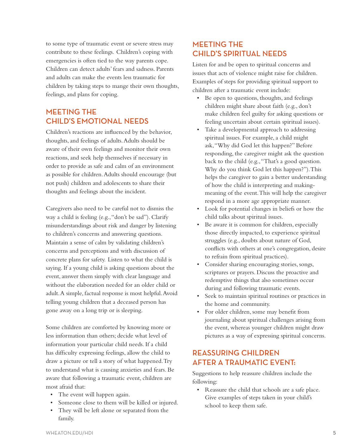to some type of traumatic event or severe stress may contribute to these feelings. Children's coping with emergencies is often tied to the way parents cope. Children can detect adults' fears and sadness. Parents and adults can make the events less traumatic for children by taking steps to mange their own thoughts, feelings, and plans for coping.

### MEETING THE CHILD'S EMOTIONAL NEEDS

Children's reactions are influenced by the behavior, thoughts, and feelings of adults. Adults should be aware of their own feelings and monitor their own reactions, and seek help themselves if necessary in order to provide as safe and calm of an environment as possible for children. Adults should encourage (but not push) children and adolescents to share their thoughts and feelings about the incident.

Caregivers also need to be careful not to dismiss the way a child is feeling (e.g., "don't be sad"). Clarify misunderstandings about risk and danger by listening to children's concerns and answering questions. Maintain a sense of calm by validating children's concerns and perceptions and with discussion of concrete plans for safety. Listen to what the child is saying. If a young child is asking questions about the event, answer them simply with clear language and without the elaboration needed for an older child or adult. A simple, factual response is most helpful. Avoid telling young children that a deceased person has gone away on a long trip or is sleeping.

Some children are comforted by knowing more or less information than others; decide what level of information your particular child needs. If a child has difficulty expressing feelings, allow the child to draw a picture or tell a story of what happened. Try to understand what is causing anxieties and fears. Be aware that following a traumatic event, children are most afraid that:

- • The event will happen again.
- • Someone close to them will be killed or injured.
- • They will be left alone or separated from the family.

### MEETING THE CHILD'S SPIRITUAL NEEDS

Listen for and be open to spiritual concerns and issues that acts of violence might raise for children. Examples of steps for providing spiritual support to children after a traumatic event include:

- Be open to questions, thoughts, and feelings children might share about faith (e.g., don't make children feel guilty for asking questions or feeling uncertain about certain spiritual issues).
- • Take a developmental approach to addressing spiritual issues. For example, a child might ask, "Why did God let this happen?" Before responding, the caregiver might ask the question back to the child (e.g., "That's a good question. Why do you think God let this happen?"). This helps the caregiver to gain a better understanding of how the child is interpreting and makingmeaning of the event. This will help the caregiver respond in a more age appropriate manner.
- • Look for potential changes in beliefs or how the child talks about spiritual issues.
- • Be aware it is common for children, especially those directly impacted, to experience spiritual struggles (e.g., doubts about nature of God, conflicts with others at one's congregation, desire to refrain from spiritual practices).
- • Consider sharing encouraging stories, songs, scriptures or prayers. Discuss the proactive and redemptive things that also sometimes occur during and following traumatic events.
- • Seek to maintain spiritual routines or practices in the home and community.
- • For older children, some may benefit from journaling about spiritual challenges arising from the event, whereas younger children might draw pictures as a way of expressing spiritual concerns.

### REASSURING CHILDREN AFTER A TRAUMATIC EVENT:

Suggestions to help reassure children include the following:

• Reassure the child that schools are a safe place. Give examples of steps taken in your child's school to keep them safe.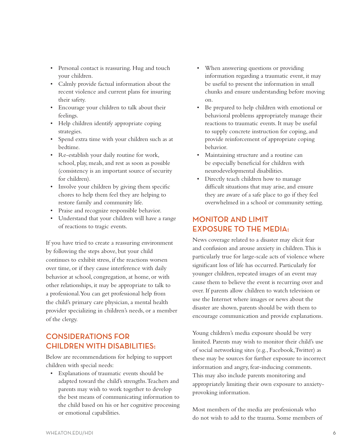- • Personal contact is reassuring. Hug and touch your children.
- • Calmly provide factual information about the recent violence and current plans for insuring their safety.
- • Encourage your children to talk about their feelings.
- • Help children identify appropriate coping strategies.
- • Spend extra time with your children such as at bedtime.
- • Re-establish your daily routine for work, school, play, meals, and rest as soon as possible (consistency is an important source of security for children).
- Involve your children by giving them specific chores to help them feel they are helping to restore family and community life.
- • Praise and recognize responsible behavior.
- Understand that your children will have a range of reactions to tragic events.

If you have tried to create a reassuring environment by following the steps above, but your child continues to exhibit stress, if the reactions worsen over time, or if they cause interference with daily behavior at school, congregation, at home, or with other relationships, it may be appropriate to talk to a professional. You can get professional help from the child's primary care physician, a mental health provider specializing in children's needs, or a member of the clergy.

# CONSIDERATIONS FOR CHILDREN WITH DISABILITIES:

Below are recommendations for helping to support children with special needs:

• Explanations of traumatic events should be adapted toward the child's strengths. Teachers and parents may wish to work together to develop the best means of communicating information to the child based on his or her cognitive processing or emotional capabilities.

- When answering questions or providing information regarding a traumatic event, it may be useful to present the information in small chunks and ensure understanding before moving on.
- Be prepared to help children with emotional or behavioral problems appropriately manage their reactions to traumatic events. It may be useful to supply concrete instruction for coping, and provide reinforcement of appropriate coping behavior.
- Maintaining structure and a routine can be especially beneficial for children with neurodevelopmental disabilities.
- • Directly teach children how to manage difficult situations that may arise, and ensure they are aware of a safe place to go if they feel overwhelmed in a school or community setting.

### MONITOR AND LIMIT EXPOSURE TO THE MEDIA:

News coverage related to a disaster may elicit fear and confusion and arouse anxiety in children. This is particularly true for large-scale acts of violence where significant loss of life has occurred. Particularly for younger children, repeated images of an event may cause them to believe the event is recurring over and over. If parents allow children to watch television or use the Internet where images or news about the disaster are shown, parents should be with them to encourage communication and provide explanations.

Young children's media exposure should be very limited. Parents may wish to monitor their child's use of social networking sites (e.g., Facebook, Twitter) as these may be sources for further exposure to incorrect information and angry, fear-inducing comments. This may also include parents monitoring and appropriately limiting their own exposure to anxietyprovoking information.

Most members of the media are professionals who do not wish to add to the trauma. Some members of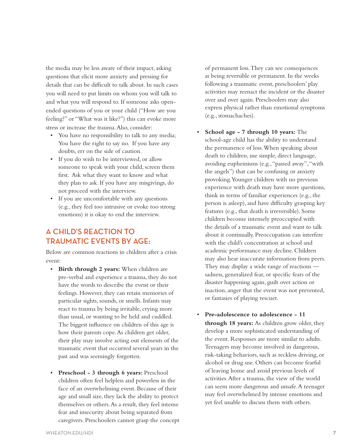the media may be less aware of their impact, asking questions that elicit more anxiety and pressing for details that can be difficult to talk about. In such cases you will need to put limits on whom you will talk to and what you will respond to. If someone asks openended questions of you or your child ("How are you feeling?" or "What was it like?") this can evoke more stress or increase the trauma. Also, consider:

- You have no responsibility to talk to any media; You have the right to say no. If you have any doubts, err on the side of caution.
- If you do wish to be interviewed, or allow someone to speak with your child, screen them first. Ask what they want to know and what they plan to ask. If you have any misgivings, do not proceed with the interview.
- • If you are uncomfortable with any questions (e.g., they feel too intrusive or evoke too strong emotions) it is okay to end the interview.

## A CHILD'S REACTION TO TRAUMATIC EVENTS BY AGE:

Below are common reactions in children after a crisis event:

- • **Birth through 2 years:** When children are pre-verbal and experience a trauma, they do not have the words to describe the event or their feelings. However, they can retain memories of particular sights, sounds, or smells. Infants may react to trauma by being irritable, crying more than usual, or wanting to be held and cuddled. The biggest influence on children of this age is how their parents cope. As children get older, their play may involve acting out elements of the traumatic event that occurred several years in the past and was seemingly forgotten.
- • **Preschool 3 through 6 years:** Preschool children often feel helpless and powerless in the face of an overwhelming event. Because of their age and small size, they lack the ability to protect themselves or others. As a result, they feel intense fear and insecurity about being separated from caregivers. Preschoolers cannot grasp the concept

of permanent loss. They can see consequences as being reversible or permanent. In the weeks following a traumatic event, preschoolers' play activities may reenact the incident or the disaster over and over again. Preschoolers may also express physical rather than emotional symptoms (e.g., stomachaches).

- **School age 7 through 10 years:** The school-age child has the ability to understand the permanence of loss. When speaking about death to children, use simple, direct language, avoiding euphemisms (e.g., "passed away", "with the angels") that can be confusing or anxiety provoking. Younger children with no previous experience with death may have more questions, think in terms of familiar experiences (e.g., the person is asleep), and have difficulty grasping key features (e.g., that death is irreversible). Some children become intensely preoccupied with the details of a traumatic event and want to talk about it continually. Preoccupation can interfere with the child's concentration at school and academic performance may decline. Children may also hear inaccurate information from peers. They may display a wide range of reactions sadness, generalized fear, or specific fears of the disaster happening again, guilt over action or inaction, anger that the event was not prevented, or fantasies of playing rescuer.
- • **Pre-adolescence to adolescence 11 through 18 years:** As children grow older, they develop a more sophisticated understanding of the event. Responses are more similar to adults. Teenagers may become involved in dangerous, risk-taking behaviors, such as reckless driving, or alcohol or drug use. Others can become fearful of leaving home and avoid previous levels of activities. After a trauma, the view of the world can seem more dangerous and unsafe. A teenager may feel overwhelmed by intense emotions and yet feel unable to discuss them with others.